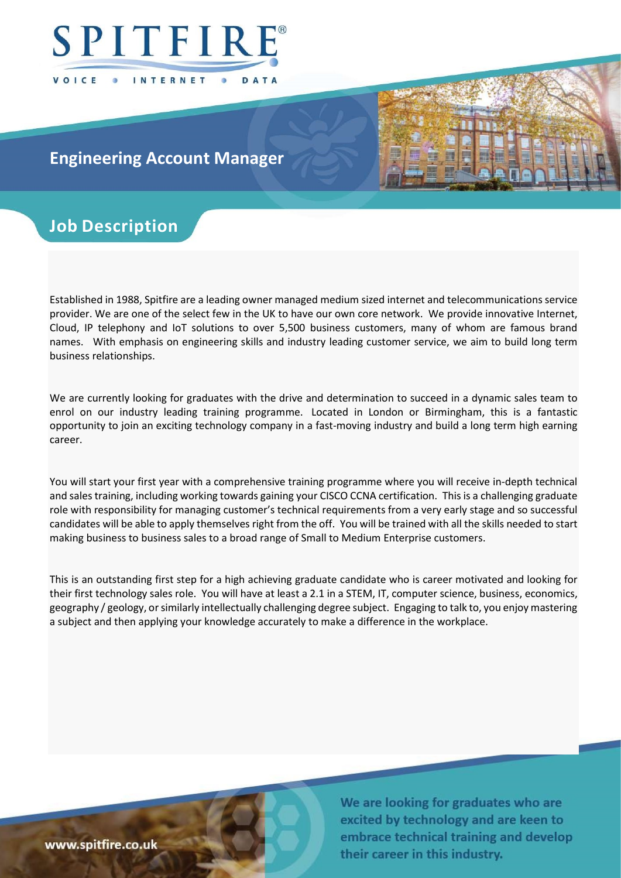

## Engineering Account Manager

# Job Description

Established in 1988, Spitfire are a leading owner managed medium sized internet and telecommunications service provider. We are one of the select few in the UK to have our own core network. We provide innovative Internet, Cloud, IP telephony and IoT solutions to over 5,500 business customers, many of whom are famous brand names. With emphasis on engineering skills and industry leading customer service, we aim to build long term business relationships.

We are currently looking for graduates with the drive and determination to succeed in a dynamic sales team to enrol on our industry leading training programme. Located in London or Birmingham, this is a fantastic opportunity to join an exciting technology company in a fast-moving industry and build a long term high earning career.

You will start your first year with a comprehensive training programme where you will receive in-depth technical and sales training, including working towards gaining your CISCO CCNA certification. This is a challenging graduate role with responsibility for managing customer's technical requirements from a very early stage and so successful candidates will be able to apply themselves right from the off. You will be trained with all the skills needed to start making business to business sales to a broad range of Small to Medium Enterprise customers.

This is an outstanding first step for a high achieving graduate candidate who is career motivated and looking for their first technology sales role. You will have at least a 2.1 in a STEM, IT, computer science, business, economics, geography / geology, or similarly intellectually challenging degree subject. Engaging to talk to, you enjoy mastering a subject and then applying your knowledge accurately to make a difference in the workplace.

www.spitfire.co.uk

We are looking for graduates who are excited by technology and are keen to embrace technical training and develop their career in this industry.